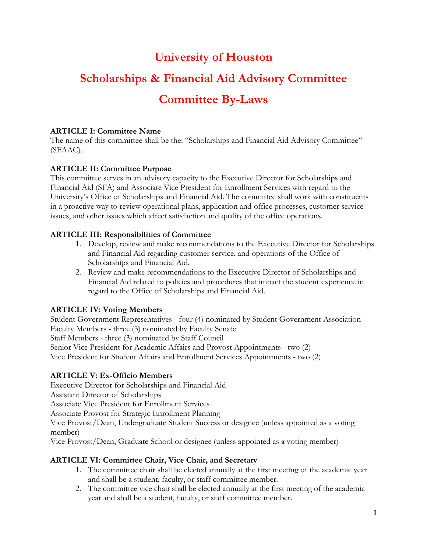# **University of Houston**

# **Scholarships & Financial Aid Advisory Committee**

# **Committee By-Laws**

## **ARTICLE I: Committee Name**

The name of this committee shall be the: "Scholarships and Financial Aid Advisory Committee" (SFAAC).

# **ARTICLE II: Committee Purpose**

This committee serves in an advisory capacity to the Executive Director for Scholarships and Financial Aid (SFA) and Associate Vice President for Enrollment Services with regard to the University's Office of Scholarships and Financial Aid. The committee shall work with constituents in a proactive way to review operational plans, application and office processes, customer service issues, and other issues which affect satisfaction and quality of the office operations.

## **ARTICLE III: Responsibilities of Committee**

- 1. Develop, review and make recommendations to the Executive Director for Scholarships and Financial Aid regarding customer service, and operations of the Office of Scholarships and Financial Aid.
- 2. Review and make recommendations to the Executive Director of Scholarships and Financial Aid related to policies and procedures that impact the student experience in regard to the Office of Scholarships and Financial Aid.

# **ARTICLE IV: Voting Members**

Student Government Representatives - four (4) nominated by Student Government Association Faculty Members - three (3) nominated by Faculty Senate Staff Members - three (3) nominated by Staff Council Senior Vice President for Academic Affairs and Provost Appointments - two (2) Vice President for Student Affairs and Enrollment Services Appointments - two (2)

### **ARTICLE V: Ex-Officio Members**

Executive Director for Scholarships and Financial Aid

Assistant Director of Scholarships

Associate Vice President for Enrollment Services

Associate Provost for Strategic Enrollment Planning

Vice Provost/Dean, Undergraduate Student Success or designee (unless appointed as a voting member)

Vice Provost/Dean, Graduate School or designee (unless appointed as a voting member)

### **ARTICLE VI: Committee Chair, Vice Chair, and Secretary**

- 1. The committee chair shall be elected annually at the first meeting of the academic year and shall be a student, faculty, or staff committee member.
- 2. The committee vice chair shall be elected annually at the first meeting of the academic year and shall be a student, faculty, or staff committee member.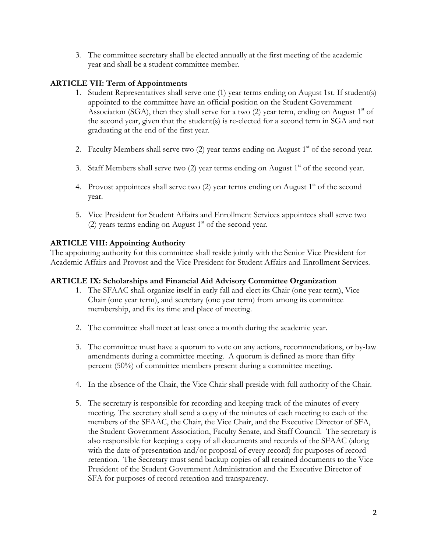3. The committee secretary shall be elected annually at the first meeting of the academic year and shall be a student committee member.

### **ARTICLE VII: Term of Appointments**

- 1. Student Representatives shall serve one (1) year terms ending on August 1st. If student(s) appointed to the committee have an official position on the Student Government Association (SGA), then they shall serve for a two (2) year term, ending on August  $1<sup>st</sup>$  of the second year, given that the student(s) is re-elected for a second term in SGA and not graduating at the end of the first year.
- 2. Faculty Members shall serve two  $(2)$  year terms ending on August 1<sup>st</sup> of the second year.
- 3. Staff Members shall serve two  $(2)$  year terms ending on August 1<sup>st</sup> of the second year.
- 4. Provost appointees shall serve two  $(2)$  year terms ending on August 1<sup>st</sup> of the second year.
- 5. Vice President for Student Affairs and Enrollment Services appointees shall serve two (2) years terms ending on August  $1<sup>st</sup>$  of the second year.

#### **ARTICLE VIII: Appointing Authority**

The appointing authority for this committee shall reside jointly with the Senior Vice President for Academic Affairs and Provost and the Vice President for Student Affairs and Enrollment Services.

#### **ARTICLE IX: Scholarships and Financial Aid Advisory Committee Organization**

- 1. The SFAAC shall organize itself in early fall and elect its Chair (one year term), Vice Chair (one year term), and secretary (one year term) from among its committee membership, and fix its time and place of meeting.
- 2. The committee shall meet at least once a month during the academic year.
- 3. The committee must have a quorum to vote on any actions, recommendations, or by-law amendments during a committee meeting. A quorum is defined as more than fifty percent (50%) of committee members present during a committee meeting.
- 4. In the absence of the Chair, the Vice Chair shall preside with full authority of the Chair.
- 5. The secretary is responsible for recording and keeping track of the minutes of every meeting. The secretary shall send a copy of the minutes of each meeting to each of the members of the SFAAC, the Chair, the Vice Chair, and the Executive Director of SFA, the Student Government Association, Faculty Senate, and Staff Council. The secretary is also responsible for keeping a copy of all documents and records of the SFAAC (along with the date of presentation and/or proposal of every record) for purposes of record retention. The Secretary must send backup copies of all retained documents to the Vice President of the Student Government Administration and the Executive Director of SFA for purposes of record retention and transparency.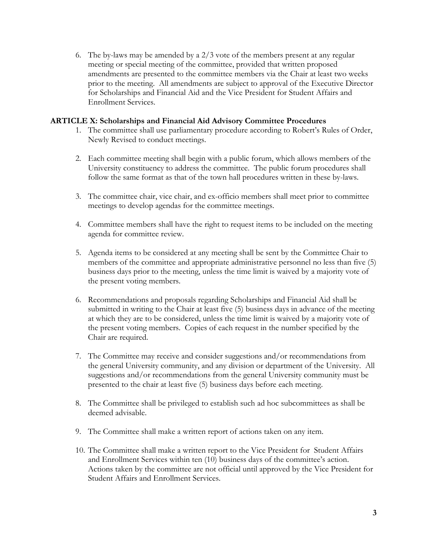6. The by-laws may be amended by a 2/3 vote of the members present at any regular meeting or special meeting of the committee, provided that written proposed amendments are presented to the committee members via the Chair at least two weeks prior to the meeting. All amendments are subject to approval of the Executive Director for Scholarships and Financial Aid and the Vice President for Student Affairs and Enrollment Services.

#### **ARTICLE X: Scholarships and Financial Aid Advisory Committee Procedures**

- 1. The committee shall use parliamentary procedure according to Robert's Rules of Order, Newly Revised to conduct meetings.
- 2. Each committee meeting shall begin with a public forum, which allows members of the University constituency to address the committee. The public forum procedures shall follow the same format as that of the town hall procedures written in these by-laws.
- 3. The committee chair, vice chair, and ex-officio members shall meet prior to committee meetings to develop agendas for the committee meetings.
- 4. Committee members shall have the right to request items to be included on the meeting agenda for committee review.
- 5. Agenda items to be considered at any meeting shall be sent by the Committee Chair to members of the committee and appropriate administrative personnel no less than five (5) business days prior to the meeting, unless the time limit is waived by a majority vote of the present voting members.
- 6. Recommendations and proposals regarding Scholarships and Financial Aid shall be submitted in writing to the Chair at least five (5) business days in advance of the meeting at which they are to be considered, unless the time limit is waived by a majority vote of the present voting members. Copies of each request in the number specified by the Chair are required.
- 7. The Committee may receive and consider suggestions and/or recommendations from the general University community, and any division or department of the University. All suggestions and/or recommendations from the general University community must be presented to the chair at least five (5) business days before each meeting.
- 8. The Committee shall be privileged to establish such ad hoc subcommittees as shall be deemed advisable.
- 9. The Committee shall make a written report of actions taken on any item.
- 10. The Committee shall make a written report to the Vice President for Student Affairs and Enrollment Services within ten (10) business days of the committee's action. Actions taken by the committee are not official until approved by the Vice President for Student Affairs and Enrollment Services.